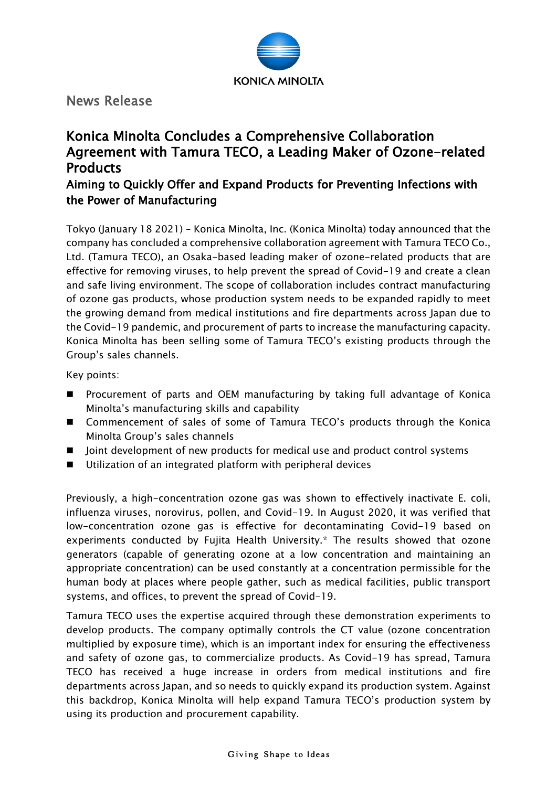

News Release

# Konica Minolta Concludes a Comprehensive Collaboration Agreement with Tamura TECO, a Leading Maker of Ozone-related **Products**

## Aiming to Quickly Offer and Expand Products for Preventing Infections with the Power of Manufacturing

Tokyo (January 18 2021) – Konica Minolta, Inc. (Konica Minolta) today announced that the company has concluded a comprehensive collaboration agreement with Tamura TECO Co., Ltd. (Tamura TECO), an Osaka-based leading maker of ozone-related products that are effective for removing viruses, to help prevent the spread of Covid-19 and create a clean and safe living environment. The scope of collaboration includes contract manufacturing of ozone gas products, whose production system needs to be expanded rapidly to meet the growing demand from medical institutions and fire departments across Japan due to the Covid-19 pandemic, and procurement of parts to increase the manufacturing capacity. Konica Minolta has been selling some of Tamura TECO's existing products through the Group's sales channels.

Key points:

- **Perocurement of parts and OEM manufacturing by taking full advantage of Konica** Minolta's manufacturing skills and capability
- Commencement of sales of some of Tamura TECO's products through the Konica Minolta Group's sales channels
- Joint development of new products for medical use and product control systems
- Utilization of an integrated platform with peripheral devices

Previously, a high-concentration ozone gas was shown to effectively inactivate E. coli, influenza viruses, norovirus, pollen, and Covid-19. In August 2020, it was verified that low-concentration ozone gas is effective for decontaminating Covid-19 based on experiments conducted by Fujita Health University.\* The results showed that ozone generators (capable of generating ozone at a low concentration and maintaining an appropriate concentration) can be used constantly at a concentration permissible for the human body at places where people gather, such as medical facilities, public transport systems, and offices, to prevent the spread of Covid-19.

Tamura TECO uses the expertise acquired through these demonstration experiments to develop products. The company optimally controls the CT value (ozone concentration multiplied by exposure time), which is an important index for ensuring the effectiveness and safety of ozone gas, to commercialize products. As Covid-19 has spread, Tamura TECO has received a huge increase in orders from medical institutions and fire departments across Japan, and so needs to quickly expand its production system. Against this backdrop, Konica Minolta will help expand Tamura TECO's production system by using its production and procurement capability.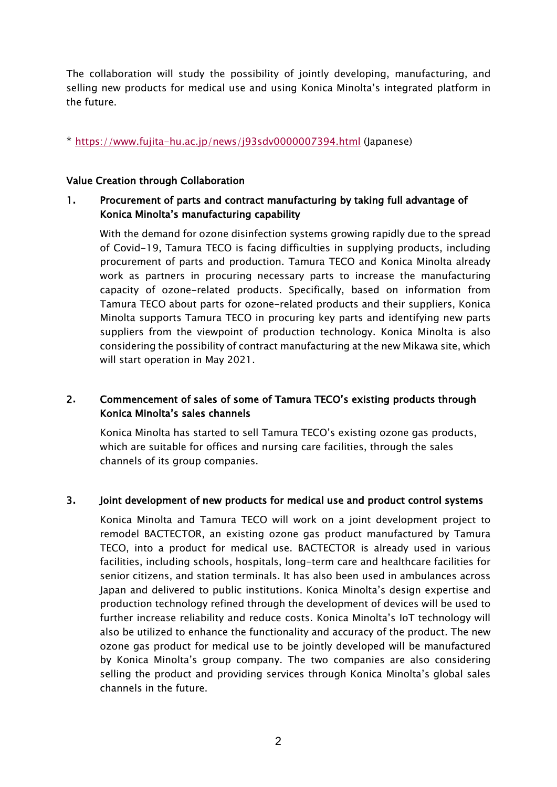The collaboration will study the possibility of jointly developing, manufacturing, and selling new products for medical use and using Konica Minolta's integrated platform in the future.

\*<https://www.fujita-hu.ac.jp/news/j93sdv0000007394.html> (Japanese)

#### Value Creation through Collaboration

## 1**.** Procurement of parts and contract manufacturing by taking full advantage of Konica Minolta's manufacturing capability

With the demand for ozone disinfection systems growing rapidly due to the spread of Covid-19, Tamura TECO is facing difficulties in supplying products, including procurement of parts and production. Tamura TECO and Konica Minolta already work as partners in procuring necessary parts to increase the manufacturing capacity of ozone-related products. Specifically, based on information from Tamura TECO about parts for ozone-related products and their suppliers, Konica Minolta supports Tamura TECO in procuring key parts and identifying new parts suppliers from the viewpoint of production technology. Konica Minolta is also considering the possibility of contract manufacturing at the new Mikawa site, which will start operation in May 2021.

## 2**.** Commencement of sales of some of Tamura TECO's existing products through Konica Minolta's sales channels

Konica Minolta has started to sell Tamura TECO's existing ozone gas products, which are suitable for offices and nursing care facilities, through the sales channels of its group companies.

#### 3**.** Joint development of new products for medical use and product control systems

Konica Minolta and Tamura TECO will work on a joint development project to remodel BACTECTOR, an existing ozone gas product manufactured by Tamura TECO, into a product for medical use. BACTECTOR is already used in various facilities, including schools, hospitals, long-term care and healthcare facilities for senior citizens, and station terminals. It has also been used in ambulances across Japan and delivered to public institutions. Konica Minolta's design expertise and production technology refined through the development of devices will be used to further increase reliability and reduce costs. Konica Minolta's IoT technology will also be utilized to enhance the functionality and accuracy of the product. The new ozone gas product for medical use to be jointly developed will be manufactured by Konica Minolta's group company. The two companies are also considering selling the product and providing services through Konica Minolta's global sales channels in the future.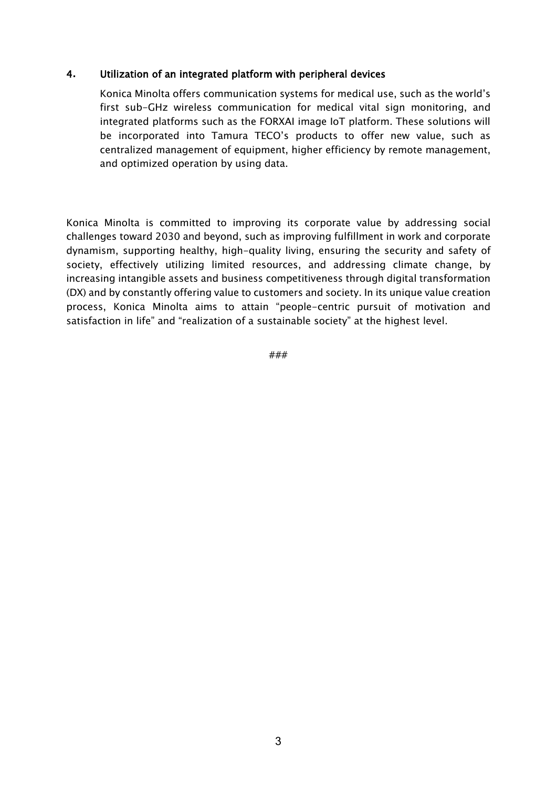#### 4**.** Utilization of an integrated platform with peripheral devices

Konica Minolta offers communication systems for medical use, such as the world's first sub-GHz wireless communication for medical vital sign monitoring, and integrated platforms such as the FORXAI image IoT platform. These solutions will be incorporated into Tamura TECO's products to offer new value, such as centralized management of equipment, higher efficiency by remote management, and optimized operation by using data.

Konica Minolta is committed to improving its corporate value by addressing social challenges toward 2030 and beyond, such as improving fulfillment in work and corporate dynamism, supporting healthy, high-quality living, ensuring the security and safety of society, effectively utilizing limited resources, and addressing climate change, by increasing intangible assets and business competitiveness through digital transformation (DX) and by constantly offering value to customers and society. In its unique value creation process, Konica Minolta aims to attain "people-centric pursuit of motivation and satisfaction in life" and "realization of a sustainable society" at the highest level.

###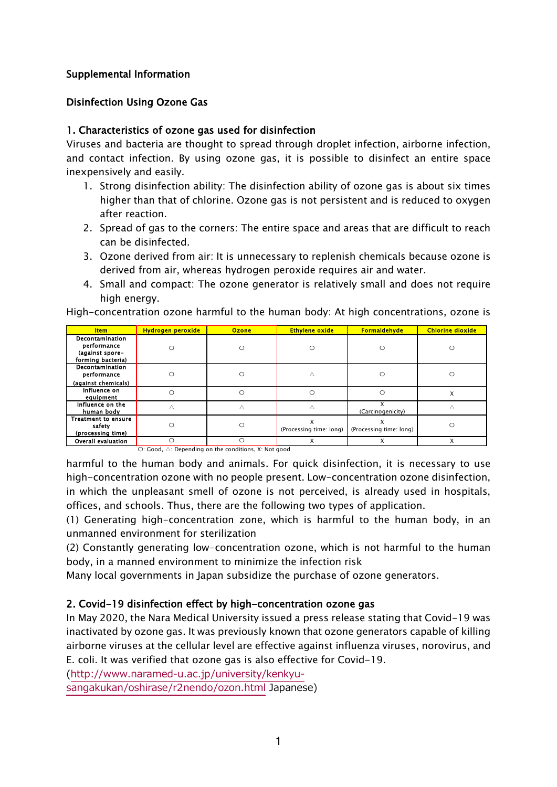## Supplemental Information

## Disinfection Using Ozone Gas

## 1. Characteristics of ozone gas used for disinfection

Viruses and bacteria are thought to spread through droplet infection, airborne infection, and contact infection. By using ozone gas, it is possible to disinfect an entire space inexpensively and easily.

- 1. Strong disinfection ability: The disinfection ability of ozone gas is about six times higher than that of chlorine. Ozone gas is not persistent and is reduced to oxygen after reaction.
- 2. Spread of gas to the corners: The entire space and areas that are difficult to reach can be disinfected.
- 3. Ozone derived from air: It is unnecessary to replenish chemicals because ozone is derived from air, whereas hydrogen peroxide requires air and water.
- 4. Small and compact: The ozone generator is relatively small and does not require high energy.

High-concentration ozone harmful to the human body: At high concentrations, ozone is

| <b>Item</b>                                                            | <b>Hydrogen peroxide</b> | <b>Ozone</b>                                | <b>Ethylene oxide</b>   | <b>Formaldehyde</b>     | <b>Chlorine dioxide</b> |
|------------------------------------------------------------------------|--------------------------|---------------------------------------------|-------------------------|-------------------------|-------------------------|
| Decontamination<br>performance<br>(against spore-<br>forming bacteria) | O                        | $\circ$                                     | Ω                       |                         | ∩                       |
| Decontamination<br>performance<br>(against chemicals)                  | O                        | $\circ$                                     |                         |                         |                         |
| Influence on<br>equipment                                              | ∩                        | Ω                                           | ∩                       | O                       | х                       |
| Influence on the<br>human body                                         |                          |                                             |                         | (Carcinogenicity)       |                         |
| <b>Treatment to ensure</b><br>safety<br>(processing time)              | С                        | $\circ$                                     | (Processing time: long) | (Processing time: long) |                         |
| Overall evaluation                                                     | O<br>$\sim$ $\sim$       | ∩<br>$\cdots$<br>$\sim$ 100 $-$<br>$\cdots$ | x                       | X                       | X                       |

〇: Good, △: Depending on the conditions, X: Not good

harmful to the human body and animals. For quick disinfection, it is necessary to use high-concentration ozone with no people present. Low-concentration ozone disinfection, in which the unpleasant smell of ozone is not perceived, is already used in hospitals, offices, and schools. Thus, there are the following two types of application.

(1) Generating high-concentration zone, which is harmful to the human body, in an unmanned environment for sterilization

(2) Constantly generating low-concentration ozone, which is not harmful to the human body, in a manned environment to minimize the infection risk

Many local governments in Japan subsidize the purchase of ozone generators.

#### 2. Covid-19 disinfection effect by high-concentration ozone gas

In May 2020, the Nara Medical University issued a press release stating that Covid-19 was inactivated by ozone gas. It was previously known that ozone generators capable of killing airborne viruses at the cellular level are effective against influenza viruses, norovirus, and E. coli. It was verified that ozone gas is also effective for Covid-19.

[\(http://www.naramed-u.ac.jp/university/kenkyu-](http://www.naramed-u.ac.jp/university/kenkyu-sangakukan/oshirase/r2nendo/ozon.html)

[sangakukan/oshirase/r2nendo/ozon.html](http://www.naramed-u.ac.jp/university/kenkyu-sangakukan/oshirase/r2nendo/ozon.html) Japanese)